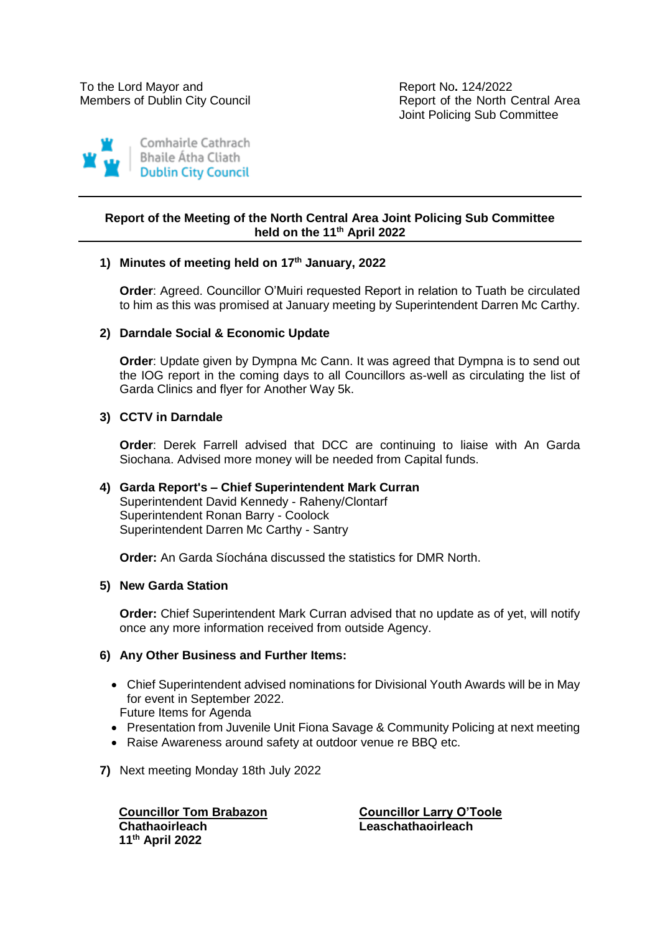Members of Dublin City Council **Report of the North Central Area** Joint Policing Sub Committee



# **Report of the Meeting of the North Central Area Joint Policing Sub Committee held on the 11th April 2022**

## **1) Minutes of meeting held on 17th January, 2022**

**Order**: Agreed. Councillor O'Muiri requested Report in relation to Tuath be circulated to him as this was promised at January meeting by Superintendent Darren Mc Carthy.

## **2) Darndale Social & Economic Update**

**Order**: Update given by Dympna Mc Cann. It was agreed that Dympna is to send out the IOG report in the coming days to all Councillors as-well as circulating the list of Garda Clinics and flyer for Another Way 5k.

## **3) CCTV in Darndale**

**Order**: Derek Farrell advised that DCC are continuing to liaise with An Garda Siochana. Advised more money will be needed from Capital funds.

## **4) Garda Report's – Chief Superintendent Mark Curran** Superintendent David Kennedy - Raheny/Clontarf Superintendent Ronan Barry - Coolock Superintendent Darren Mc Carthy - Santry

**Order:** An Garda Síochána discussed the statistics for DMR North.

#### **5) New Garda Station**

**Order:** Chief Superintendent Mark Curran advised that no update as of yet, will notify once any more information received from outside Agency.

#### **6) Any Other Business and Further Items:**

- Chief Superintendent advised nominations for Divisional Youth Awards will be in May for event in September 2022.
	- Future Items for Agenda
- Presentation from Juvenile Unit Fiona Savage & Community Policing at next meeting
- Raise Awareness around safety at outdoor venue re BBQ etc.
- **7)** Next meeting Monday 18th July 2022

**Councillor Tom Brabazon Councillor Larry O'Toole Chathaoirleach Leaschathaoirleach 11 th April 2022**